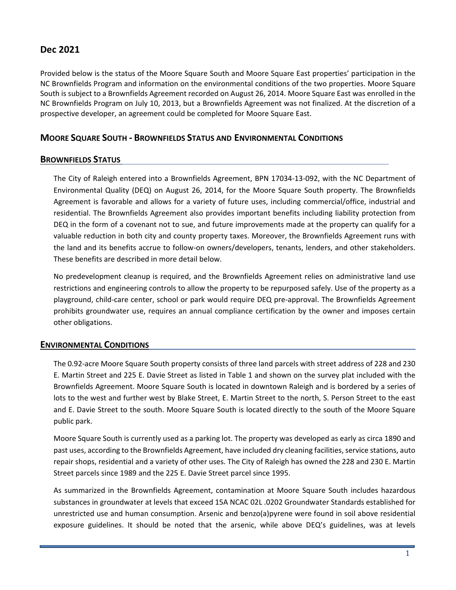# **Dec 2021**

Provided below is the status of the Moore Square South and Moore Square East properties' participation in the NC Brownfields Program and information on the environmental conditions of the two properties. Moore Square South is subject to a Brownfields Agreement recorded on August 26, 2014. Moore Square East was enrolled in the NC Brownfields Program on July 10, 2013, but a Brownfields Agreement was not finalized. At the discretion of a prospective developer, an agreement could be completed for Moore Square East.

## **MOORE SQUARE SOUTH - BROWNFIELDS STATUS AND ENVIRONMENTAL CONDITIONS**

## **BROWNFIELDS STATUS**

The City of Raleigh entered into a Brownfields Agreement, BPN 17034-13-092, with the NC Department of Environmental Quality (DEQ) on August 26, 2014, for the Moore Square South property. The Brownfields Agreement is favorable and allows for a variety of future uses, including commercial/office, industrial and residential. The Brownfields Agreement also provides important benefits including liability protection from DEQ in the form of a covenant not to sue, and future improvements made at the property can qualify for a valuable reduction in both city and county property taxes. Moreover, the Brownfields Agreement runs with the land and its benefits accrue to follow-on owners/developers, tenants, lenders, and other stakeholders. These benefits are described in more detail below.

No predevelopment cleanup is required, and the Brownfields Agreement relies on administrative land use restrictions and engineering controls to allow the property to be repurposed safely. Use of the property as a playground, child-care center, school or park would require DEQ pre-approval. The Brownfields Agreement prohibits groundwater use, requires an annual compliance certification by the owner and imposes certain other obligations.

## **ENVIRONMENTAL CONDITIONS**

The 0.92-acre Moore Square South property consists of three land parcels with street address of 228 and 230 E. Martin Street and 225 E. Davie Street as listed in Table 1 and shown on the survey plat included with the Brownfields Agreement. Moore Square South is located in downtown Raleigh and is bordered by a series of lots to the west and further west by Blake Street, E. Martin Street to the north, S. Person Street to the east and E. Davie Street to the south. Moore Square South is located directly to the south of the Moore Square public park.

Moore Square South is currently used as a parking lot. The property was developed as early as circa 1890 and past uses, according to the Brownfields Agreement, have included dry cleaning facilities, service stations, auto repair shops, residential and a variety of other uses. The City of Raleigh has owned the 228 and 230 E. Martin Street parcels since 1989 and the 225 E. Davie Street parcel since 1995.

As summarized in the Brownfields Agreement, contamination at Moore Square South includes hazardous substances in groundwater at levels that exceed 15A NCAC 02L .0202 Groundwater Standards established for unrestricted use and human consumption. Arsenic and benzo(a)pyrene were found in soil above residential exposure guidelines. It should be noted that the arsenic, while above DEQ's guidelines, was at levels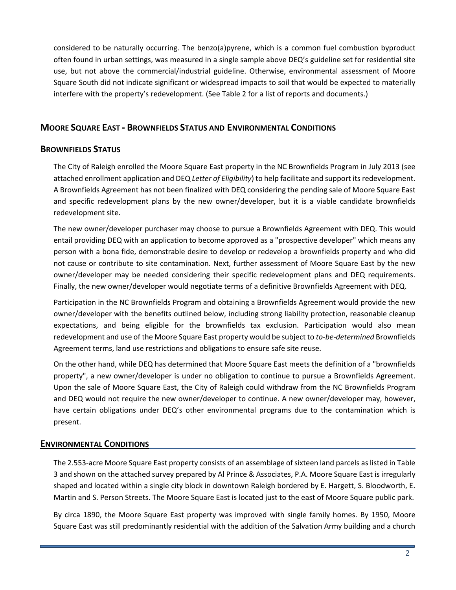considered to be naturally occurring. The benzo(a)pyrene, which is a common fuel combustion byproduct often found in urban settings, was measured in a single sample above DEQ's guideline set for residential site use, but not above the commercial/industrial guideline. Otherwise, environmental assessment of Moore Square South did not indicate significant or widespread impacts to soil that would be expected to materially interfere with the property's redevelopment. (See Table 2 for a list of reports and documents.)

## **MOORE SQUARE EAST - BROWNFIELDS STATUS AND ENVIRONMENTAL CONDITIONS**

## **BROWNFIELDS STATUS**

The City of Raleigh enrolled the Moore Square East property in the NC Brownfields Program in July 2013 (see attached enrollment application and DEQ *Letter of Eligibility*) to help facilitate and support its redevelopment. A Brownfields Agreement has not been finalized with DEQ considering the pending sale of Moore Square East and specific redevelopment plans by the new owner/developer, but it is a viable candidate brownfields redevelopment site.

The new owner/developer purchaser may choose to pursue a Brownfields Agreement with DEQ. This would entail providing DEQ with an application to become approved as a "prospective developer" which means any person with a bona fide, demonstrable desire to develop or redevelop a brownfields property and who did not cause or contribute to site contamination. Next, further assessment of Moore Square East by the new owner/developer may be needed considering their specific redevelopment plans and DEQ requirements. Finally, the new owner/developer would negotiate terms of a definitive Brownfields Agreement with DEQ.

Participation in the NC Brownfields Program and obtaining a Brownfields Agreement would provide the new owner/developer with the benefits outlined below, including strong liability protection, reasonable cleanup expectations, and being eligible for the brownfields tax exclusion. Participation would also mean redevelopment and use of the Moore Square East property would be subject to *to-be-determined* Brownfields Agreement terms, land use restrictions and obligations to ensure safe site reuse.

On the other hand, while DEQ has determined that Moore Square East meets the definition of a "brownfields property", a new owner/developer is under no obligation to continue to pursue a Brownfields Agreement. Upon the sale of Moore Square East, the City of Raleigh could withdraw from the NC Brownfields Program and DEQ would not require the new owner/developer to continue. A new owner/developer may, however, have certain obligations under DEQ's other environmental programs due to the contamination which is present.

#### **ENVIRONMENTAL CONDITIONS**

The 2.553-acre Moore Square East property consists of an assemblage of sixteen land parcels as listed in Table 3 and shown on the attached survey prepared by Al Prince & Associates, P.A. Moore Square East is irregularly shaped and located within a single city block in downtown Raleigh bordered by E. Hargett, S. Bloodworth, E. Martin and S. Person Streets. The Moore Square East is located just to the east of Moore Square public park.

By circa 1890, the Moore Square East property was improved with single family homes. By 1950, Moore Square East was still predominantly residential with the addition of the Salvation Army building and a church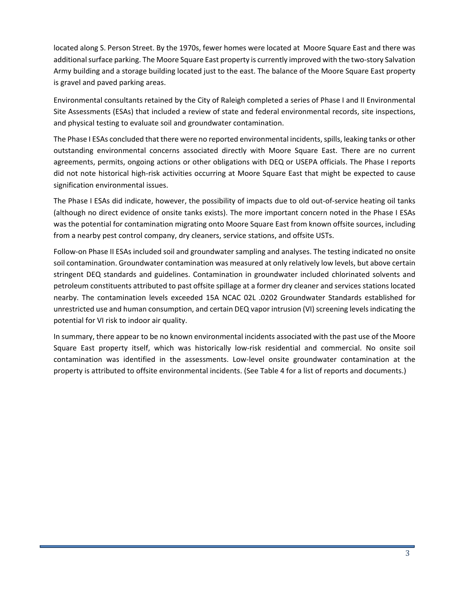located along S. Person Street. By the 1970s, fewer homes were located at Moore Square East and there was additional surface parking. The Moore Square East property is currently improved with the two-story Salvation Army building and a storage building located just to the east. The balance of the Moore Square East property is gravel and paved parking areas.

Environmental consultants retained by the City of Raleigh completed a series of Phase I and II Environmental Site Assessments (ESAs) that included a review of state and federal environmental records, site inspections, and physical testing to evaluate soil and groundwater contamination.

The Phase I ESAs concluded that there were no reported environmental incidents, spills, leaking tanks or other outstanding environmental concerns associated directly with Moore Square East. There are no current agreements, permits, ongoing actions or other obligations with DEQ or USEPA officials. The Phase I reports did not note historical high-risk activities occurring at Moore Square East that might be expected to cause signification environmental issues.

The Phase I ESAs did indicate, however, the possibility of impacts due to old out-of-service heating oil tanks (although no direct evidence of onsite tanks exists). The more important concern noted in the Phase I ESAs was the potential for contamination migrating onto Moore Square East from known offsite sources, including from a nearby pest control company, dry cleaners, service stations, and offsite USTs.

Follow-on Phase II ESAs included soil and groundwater sampling and analyses. The testing indicated no onsite soil contamination. Groundwater contamination was measured at only relatively low levels, but above certain stringent DEQ standards and guidelines. Contamination in groundwater included chlorinated solvents and petroleum constituents attributed to past offsite spillage at a former dry cleaner and services stations located nearby. The contamination levels exceeded 15A NCAC 02L .0202 Groundwater Standards established for unrestricted use and human consumption, and certain DEQ vapor intrusion (VI) screening levelsindicating the potential for VI risk to indoor air quality.

In summary, there appear to be no known environmental incidents associated with the past use of the Moore Square East property itself, which was historically low-risk residential and commercial. No onsite soil contamination was identified in the assessments. Low-level onsite groundwater contamination at the property is attributed to offsite environmental incidents. (See Table 4 for a list of reports and documents.)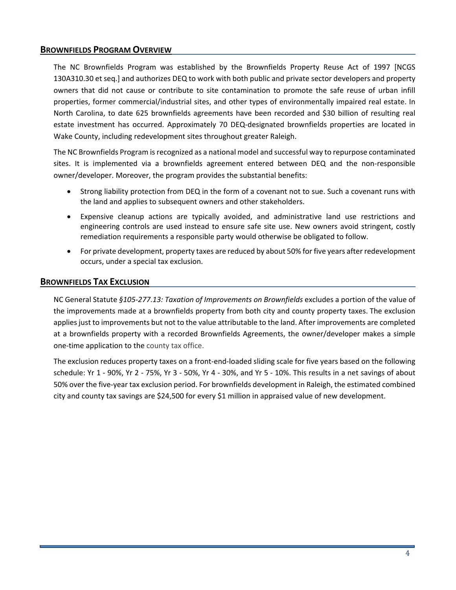## **BROWNFIELDS PROGRAM OVERVIEW**

The NC Brownfields Program was established by the Brownfields Property Reuse Act of 1997 [NCGS 130A310.30 et seq.] and authorizes DEQ to work with both public and private sector developers and property owners that did not cause or contribute to site contamination to promote the safe reuse of urban infill properties, former commercial/industrial sites, and other types of environmentally impaired real estate. In North Carolina, to date 625 brownfields agreements have been recorded and \$30 billion of resulting real estate investment has occurred. Approximately 70 DEQ-designated brownfields properties are located in Wake County, including redevelopment sites throughout greater Raleigh.

The NC Brownfields Program is recognized as a national model and successful way to repurpose contaminated sites. It is implemented via a brownfields agreement entered between DEQ and the non-responsible owner/developer. Moreover, the program provides the substantial benefits:

- Strong liability protection from DEQ in the form of a covenant not to sue. Such a covenant runs with the land and applies to subsequent owners and other stakeholders.
- Expensive cleanup actions are typically avoided, and administrative land use restrictions and engineering controls are used instead to ensure safe site use. New owners avoid stringent, costly remediation requirements a responsible party would otherwise be obligated to follow.
- For private development, property taxes are reduced by about 50% for five years after redevelopment occurs, under a special tax exclusion.

## **BROWNFIELDS TAX EXCLUSION**

NC General Statute *§105-277.13: Taxation of Improvements on Brownfields* excludes a portion of the value of the improvements made at a brownfields property from both city and county property taxes. The exclusion applies just to improvements but not to the value attributable to the land. After improvements are completed at a brownfields property with a recorded Brownfields Agreements, the owner/developer makes a simple one-time application to the county tax office.

The exclusion reduces property taxes on a front-end-loaded sliding scale for five years based on the following schedule: Yr 1 - 90%, Yr 2 - 75%, Yr 3 - 50%, Yr 4 - 30%, and Yr 5 - 10%. This results in a net savings of about 50% over the five-year tax exclusion period. For brownfields development in Raleigh, the estimated combined city and county tax savings are \$24,500 for every \$1 million in appraised value of new development.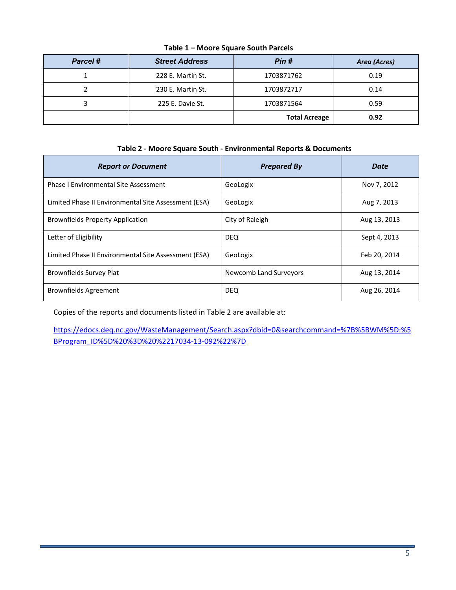| Parcel # | <b>Street Address</b> | Pin #                | Area (Acres) |
|----------|-----------------------|----------------------|--------------|
|          | 228 E. Martin St.     | 1703871762           | 0.19         |
|          | 230 E. Martin St.     | 1703872717           | 0.14         |
|          | 225 E. Davie St.      | 1703871564           | 0.59         |
|          |                       | <b>Total Acreage</b> | 0.92         |

**Table 1 – Moore Square South Parcels**

# **Table 2 - Moore Square South - Environmental Reports & Documents**

| <b>Report or Document</b>                            | <b>Prepared By</b>     | Date         |
|------------------------------------------------------|------------------------|--------------|
| <b>Phase I Environmental Site Assessment</b>         | GeoLogix               | Nov 7, 2012  |
| Limited Phase II Environmental Site Assessment (ESA) | GeoLogix               | Aug 7, 2013  |
| <b>Brownfields Property Application</b>              | City of Raleigh        | Aug 13, 2013 |
| Letter of Eligibility                                | <b>DEQ</b>             | Sept 4, 2013 |
| Limited Phase II Environmental Site Assessment (ESA) | GeoLogix               | Feb 20, 2014 |
| Brownfields Survey Plat                              | Newcomb Land Surveyors | Aug 13, 2014 |
| <b>Brownfields Agreement</b>                         | <b>DEQ</b>             | Aug 26, 2014 |

Copies of the reports and documents listed in Table 2 are available at:

[https://edocs.deq.nc.gov/WasteManagement/Search.aspx?dbid=0&searchcommand=%7B%5BWM%5D:%5](https://edocs.deq.nc.gov/WasteManagement/Search.aspx?dbid=0&searchcommand=%7B%5BWM%5D:%5BProgram_ID%5D%20%3D%20%2217034-13-092%22%7D) [BProgram\\_ID%5D%20%3D%20%2217034-13-092%22%7D](https://edocs.deq.nc.gov/WasteManagement/Search.aspx?dbid=0&searchcommand=%7B%5BWM%5D:%5BProgram_ID%5D%20%3D%20%2217034-13-092%22%7D)